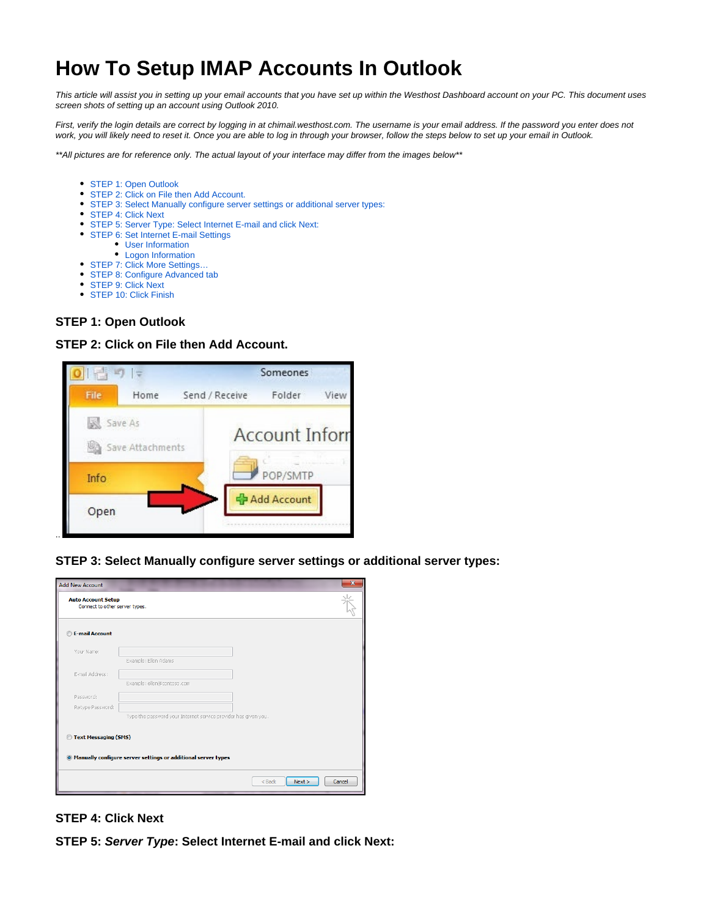# **How To Setup IMAP Accounts In Outlook**

This article will assist you in setting up your email accounts that you have set up within the Westhost Dashboard account on your PC. This document uses screen shots of setting up an account using Outlook 2010.

First, verify the login details are correct by logging in at chimail.westhost.com. The username is your email address. If the password you enter does not work, you will likely need to reset it. Once you are able to log in through your browser, follow the steps below to set up your email in Outlook.

\*\*All pictures are for reference only. The actual layout of your interface may differ from the images below\*\*

- [STEP 1: Open Outlook](#page-0-0)
- [STEP 2: Click on File then Add Account.](#page-0-1)
- [STEP 3: Select Manually configure server settings or additional server types:](#page-0-2)
- [STEP 4: Click Next](#page-0-3)
- [STEP 5: Server Type: Select Internet E-mail and click Next:](#page-0-4)
- [STEP 6: Set Internet E-mail Settings](#page-1-0)
	- [User Information](#page-1-1)
		- [Logon Information](#page-1-2)
- [STEP 7: Click More Settings…](#page-1-3)
- [STEP 8: Configure Advanced tab](#page-2-0)
- **[STEP 9: Click Next](#page-2-1)**
- [STEP 10: Click Finish](#page-2-2)

## <span id="page-0-0"></span>**STEP 1: Open Outlook**

## **STEP 2: Click on File then Add Account.**

<span id="page-0-1"></span>

<span id="page-0-2"></span>**STEP 3: Select Manually configure server settings or additional server types:**

|                                                                 | $\mathbf{x}$                                                                                                                                                      |
|-----------------------------------------------------------------|-------------------------------------------------------------------------------------------------------------------------------------------------------------------|
|                                                                 |                                                                                                                                                                   |
|                                                                 |                                                                                                                                                                   |
|                                                                 |                                                                                                                                                                   |
| Example: Ellen Adams                                            |                                                                                                                                                                   |
|                                                                 |                                                                                                                                                                   |
| Example: ellen@contoso.com                                      |                                                                                                                                                                   |
|                                                                 |                                                                                                                                                                   |
|                                                                 |                                                                                                                                                                   |
| Type the password your Internet service provider has given you. |                                                                                                                                                                   |
|                                                                 |                                                                                                                                                                   |
|                                                                 |                                                                                                                                                                   |
| Next ><br>$<$ Back                                              | Cancel                                                                                                                                                            |
|                                                                 | <b>Auto Account Setup</b><br>Connect to other server types.<br>Text Messaging (SMS)<br><sup>®</sup> Manually configure server settings or additional server types |

# <span id="page-0-3"></span>**STEP 4: Click Next**

<span id="page-0-4"></span>**STEP 5: Server Type: Select Internet E-mail and click Next:**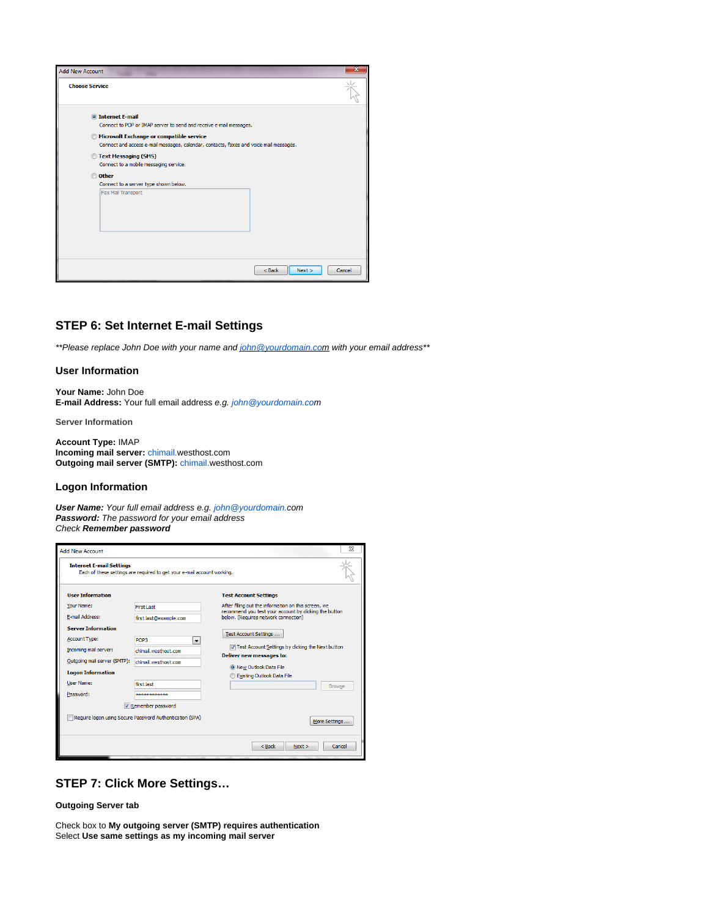| <b>Add New Account</b>                                                                                                                                                                                                                                                                                                                                                                         |                            |  |
|------------------------------------------------------------------------------------------------------------------------------------------------------------------------------------------------------------------------------------------------------------------------------------------------------------------------------------------------------------------------------------------------|----------------------------|--|
| <b>Choose Service</b>                                                                                                                                                                                                                                                                                                                                                                          |                            |  |
| <b>O</b> Internet E-mail<br>Connect to POP or IMAP server to send and receive e-mail messages.<br><b>Microsoft Exchange or compatible service</b><br>Connect and access e-mail messages, calendar, contacts, faxes and voice mail messages.<br>Text Messaging (SMS)<br>Connect to a mobile messaging service.<br>© Other<br>Connect to a server type shown below.<br><b>Fax Mail Transport</b> |                            |  |
|                                                                                                                                                                                                                                                                                                                                                                                                | $<$ Back<br>Next<br>Cancel |  |

# <span id="page-1-0"></span>**STEP 6: Set Internet E-mail Settings**

\*\*Please replace John Doe with your name and john @yourdomain.com with your email address\*\*

#### <span id="page-1-1"></span>**User Information**

**Your Name:** John Doe **E-mail Address:** Your full email address e.g. [john@yourdomain.co](mailto:john@yourdomain.co.uk)m

**Server Information**

**Account Type:** IMAP **Incoming mail server:** [chimail.](http://chimail.uk2.net)westhost.com **Outgoing mail server (SMTP):** [chimail.w](http://chimail.uk2.net)esthost.com

#### <span id="page-1-2"></span>**Logon Information**

**User Name:** Your full email address e.g. [john@yourdomain.c](mailto:john@yourdomain.co.uk)om **Password:** The password for your email address Check **Remember password**

| <b>Add New Account</b>          |                                                                         | SΩ                                                                                                                                              |  |  |  |
|---------------------------------|-------------------------------------------------------------------------|-------------------------------------------------------------------------------------------------------------------------------------------------|--|--|--|
| <b>Internet E-mail Settings</b> | Each of these settings are required to get your e-mail account working. |                                                                                                                                                 |  |  |  |
| <b>User Information</b>         |                                                                         | <b>Test Account Settings</b>                                                                                                                    |  |  |  |
| Your Name:                      | First Last                                                              | After filling out the information on this screen, we<br>recommend you test your account by dicking the button                                   |  |  |  |
| E-mail Address:                 | first.last@example.com                                                  | below. (Requires network connection)                                                                                                            |  |  |  |
| <b>Server Information</b>       |                                                                         |                                                                                                                                                 |  |  |  |
| <b>Account Type:</b>            | POP3<br>۰                                                               | Test Account Settings                                                                                                                           |  |  |  |
| Incoming mail server:           | chimail.westhost.com                                                    | V Test Account Settings by clicking the Next button<br>Deliver new messages to:<br>O New Outlook Data File<br><b>Existing Outlook Data File</b> |  |  |  |
| Outgoing mail server (SMTP):    | chimail.westhost.com                                                    |                                                                                                                                                 |  |  |  |
| <b>Logon Information</b>        |                                                                         |                                                                                                                                                 |  |  |  |
| User Name:                      | first.last                                                              | <b>Browse</b>                                                                                                                                   |  |  |  |
| Password:                       | ************                                                            |                                                                                                                                                 |  |  |  |
|                                 | Remember password                                                       |                                                                                                                                                 |  |  |  |
|                                 | Require logon using Secure Password Authentication (SPA)                | More Settings                                                                                                                                   |  |  |  |
|                                 |                                                                         | $<$ Back<br>Next ><br>Cancel                                                                                                                    |  |  |  |

# <span id="page-1-3"></span>**STEP 7: Click More Settings…**

**Outgoing Server tab**

Check box to **My outgoing server (SMTP) requires authentication** Select **Use same settings as my incoming mail server**